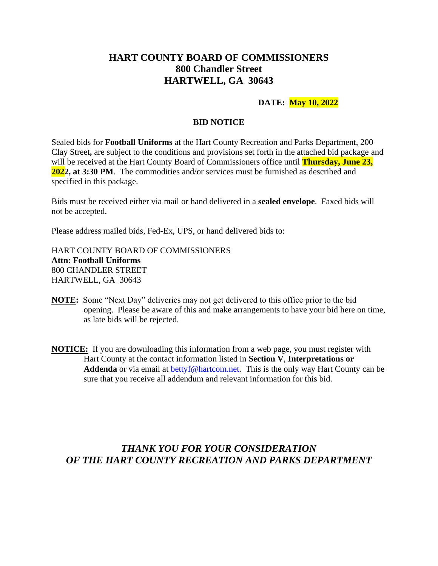# **HART COUNTY BOARD OF COMMISSIONERS 800 Chandler Street HARTWELL, GA 30643**

### **DATE: May 10, 2022**

#### **BID NOTICE**

Sealed bids for **Football Uniforms** at the Hart County Recreation and Parks Department, 200 Clay Street**,** are subject to the conditions and provisions set forth in the attached bid package and will be received at the Hart County Board of Commissioners office until **Thursday, June 23, 2022, at 3:30 PM**. The commodities and/or services must be furnished as described and specified in this package.

Bids must be received either via mail or hand delivered in a **sealed envelope**. Faxed bids will not be accepted.

Please address mailed bids, Fed-Ex, UPS, or hand delivered bids to:

HART COUNTY BOARD OF COMMISSIONERS **Attn: Football Uniforms** 800 CHANDLER STREET HARTWELL, GA 30643

- **NOTE:** Some "Next Day" deliveries may not get delivered to this office prior to the bid opening. Please be aware of this and make arrangements to have your bid here on time, as late bids will be rejected.
- **NOTICE:** If you are downloading this information from a web page, you must register with Hart County at the contact information listed in **Section V**, **Interpretations or**  Addenda or via email at [bettyf@hartcom.net.](mailto:bettyf@hartcom.net) This is the only way Hart County can be sure that you receive all addendum and relevant information for this bid.

# *THANK YOU FOR YOUR CONSIDERATION OF THE HART COUNTY RECREATION AND PARKS DEPARTMENT*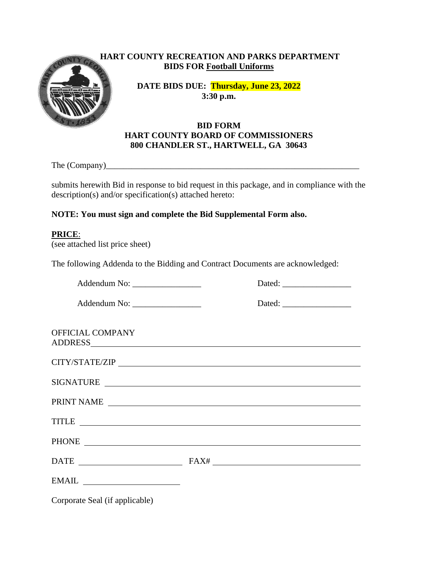

# **HART COUNTY RECREATION AND PARKS DEPARTMENT BIDS FOR Football Uniforms**

**DATE BIDS DUE: Thursday, June 23, 2022 3:30 p.m.**

## **BID FORM HART COUNTY BOARD OF COMMISSIONERS 800 CHANDLER ST., HARTWELL, GA 30643**

The (Company)

submits herewith Bid in response to bid request in this package, and in compliance with the description(s) and/or specification(s) attached hereto:

# **NOTE: You must sign and complete the Bid Supplemental Form also.**

### **PRICE**:

(see attached list price sheet)

The following Addenda to the Bidding and Contract Documents are acknowledged:

Addendum No:  $Dated:$ 

Addendum No: \_\_\_\_\_\_\_\_\_\_\_\_\_\_\_\_ Dated: \_\_\_\_\_\_\_\_\_\_\_\_\_\_\_\_

OFFICIAL COMPANY ADDRESS

| CITY/STATE/ZIP   |  |  |  |
|------------------|--|--|--|
| <b>SIGNATURE</b> |  |  |  |

PRINT NAME

TITLE TIME THAT IS NOT THE TIME TO A REPORT OF THE TIME TO A REPORT OF THE TIME OF THE TIME OF THE TIME OF THE PHONE **Example 2018** 

| $\mathbf{A}$ |  |  |
|--------------|--|--|
|              |  |  |

| $EMAH$ . |  |
|----------|--|
|----------|--|

Corporate Seal (if applicable)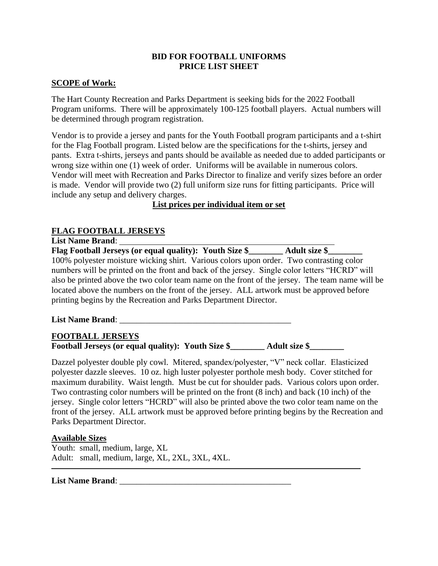### **BID FOR FOOTBALL UNIFORMS PRICE LIST SHEET**

### **SCOPE of Work:**

The Hart County Recreation and Parks Department is seeking bids for the 2022 Football Program uniforms. There will be approximately 100-125 football players. Actual numbers will be determined through program registration.

Vendor is to provide a jersey and pants for the Youth Football program participants and a t-shirt for the Flag Football program. Listed below are the specifications for the t-shirts, jersey and pants. Extra t-shirts, jerseys and pants should be available as needed due to added participants or wrong size within one (1) week of order. Uniforms will be available in numerous colors. Vendor will meet with Recreation and Parks Director to finalize and verify sizes before an order is made. Vendor will provide two (2) full uniform size runs for fitting participants. Price will include any setup and delivery charges.

**List prices per individual item or set**

# **FLAG FOOTBALL JERSEYS**

**List Name Brand**: **Flag Football Jerseys (or equal quality): Youth Size \$\_\_\_\_\_\_\_\_ Adult size \$\_\_\_\_\_\_\_\_** 100% polyester moisture wicking shirt. Various colors upon order. Two contrasting color numbers will be printed on the front and back of the jersey. Single color letters "HCRD" will also be printed above the two color team name on the front of the jersey. The team name will be located above the numbers on the front of the jersey. ALL artwork must be approved before printing begins by the Recreation and Parks Department Director.

#### **List Name Brand**: \_\_\_\_\_\_\_\_\_\_\_\_\_\_\_\_\_\_\_\_\_\_\_\_\_\_\_\_\_\_\_\_\_\_\_\_\_\_\_\_

### **FOOTBALL JERSEYS**

**Football Jerseys (or equal quality): Youth Size \$\_\_\_\_\_\_\_\_ Adult size \$\_\_\_\_\_\_\_\_**

Dazzel polyester double ply cowl. Mitered, spandex/polyester, "V" neck collar. Elasticized polyester dazzle sleeves. 10 oz. high luster polyester porthole mesh body. Cover stitched for maximum durability. Waist length. Must be cut for shoulder pads. Various colors upon order. Two contrasting color numbers will be printed on the front (8 inch) and back (10 inch) of the jersey. Single color letters "HCRD" will also be printed above the two color team name on the front of the jersey. ALL artwork must be approved before printing begins by the Recreation and Parks Department Director.

### **Available Sizes**

Youth: small, medium, large, XL Adult: small, medium, large, XL, 2XL, 3XL, 4XL.

#### **List Name Brand**: \_\_\_\_\_\_\_\_\_\_\_\_\_\_\_\_\_\_\_\_\_\_\_\_\_\_\_\_\_\_\_\_\_\_\_\_\_\_\_\_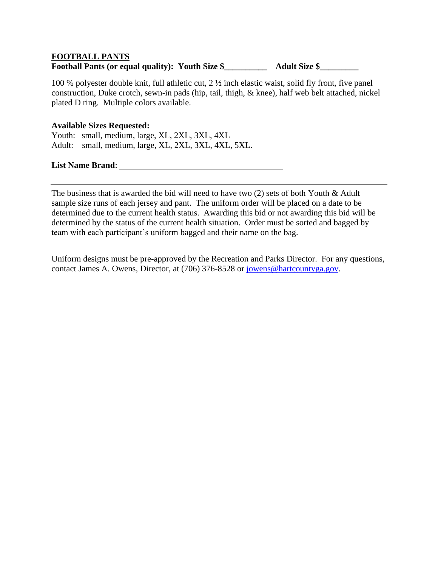# **FOOTBALL PANTS**

# **Football Pants (or equal quality): Youth Size \$\_\_\_\_\_\_\_\_\_\_ Adult Size \$\_\_\_\_\_\_\_\_\_**

100 % polyester double knit, full athletic cut, 2 ½ inch elastic waist, solid fly front, five panel construction, Duke crotch, sewn-in pads (hip, tail, thigh, & knee), half web belt attached, nickel plated D ring. Multiple colors available.

### **Available Sizes Requested:**

Youth: small, medium, large, XL, 2XL, 3XL, 4XL Adult: small, medium, large, XL, 2XL, 3XL, 4XL, 5XL.

**List Name Brand**:

The business that is awarded the bid will need to have two (2) sets of both Youth & Adult sample size runs of each jersey and pant. The uniform order will be placed on a date to be determined due to the current health status. Awarding this bid or not awarding this bid will be determined by the status of the current health situation. Order must be sorted and bagged by team with each participant's uniform bagged and their name on the bag.

Uniform designs must be pre-approved by the Recreation and Parks Director. For any questions, contact James A. Owens, Director, at (706) 376-8528 or [jowens@hartcountyga.gov.](mailto:jowens@hartcountyga.gov)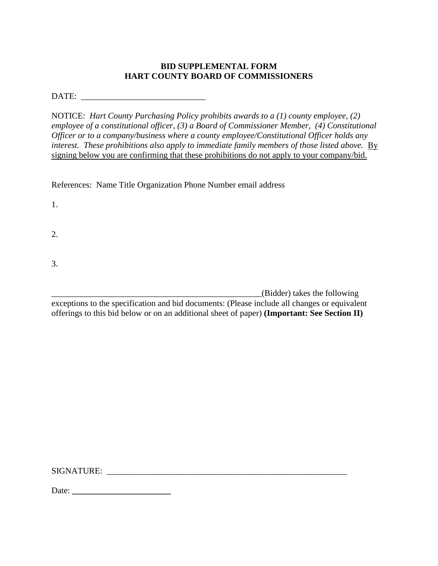# **BID SUPPLEMENTAL FORM HART COUNTY BOARD OF COMMISSIONERS**

DATE: \_\_\_\_\_\_\_\_\_\_\_\_\_\_\_\_\_\_\_\_\_\_\_\_\_\_\_\_\_

NOTICE: *Hart County Purchasing Policy prohibits awards to a (1) county employee, (2) employee of a constitutional officer, (3) a Board of Commissioner Member, (4) Constitutional Officer or to a company/business where a county employee/Constitutional Officer holds any interest. These prohibitions also apply to immediate family members of those listed above.* By signing below you are confirming that these prohibitions do not apply to your company/bid.

References: Name Title Organization Phone Number email address

1.

2.

3.

\_\_\_\_\_\_\_\_\_\_\_\_\_\_\_\_\_\_\_\_\_\_\_\_\_\_\_\_\_\_\_\_\_\_\_\_\_\_\_\_\_\_\_\_\_\_\_\_\_(Bidder) takes the following

exceptions to the specification and bid documents: (Please include all changes or equivalent offerings to this bid below or on an additional sheet of paper) **(Important: See Section II)**

SIGNATURE: \_\_\_\_\_\_\_\_\_\_\_\_\_\_\_\_\_\_\_\_\_\_\_\_\_\_\_\_\_\_\_\_\_\_\_\_\_\_\_\_\_\_\_\_\_\_\_\_\_\_\_\_\_\_\_\_

Date: **\_\_\_\_\_\_\_\_\_\_\_\_\_\_\_\_\_\_\_\_\_\_\_**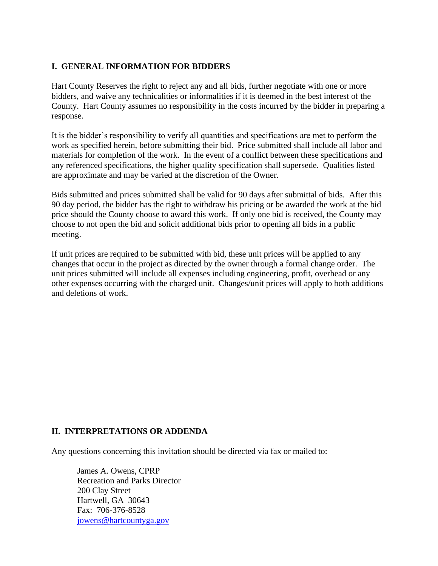# **I. GENERAL INFORMATION FOR BIDDERS**

Hart County Reserves the right to reject any and all bids, further negotiate with one or more bidders, and waive any technicalities or informalities if it is deemed in the best interest of the County. Hart County assumes no responsibility in the costs incurred by the bidder in preparing a response.

It is the bidder's responsibility to verify all quantities and specifications are met to perform the work as specified herein, before submitting their bid. Price submitted shall include all labor and materials for completion of the work. In the event of a conflict between these specifications and any referenced specifications, the higher quality specification shall supersede. Qualities listed are approximate and may be varied at the discretion of the Owner.

Bids submitted and prices submitted shall be valid for 90 days after submittal of bids. After this 90 day period, the bidder has the right to withdraw his pricing or be awarded the work at the bid price should the County choose to award this work. If only one bid is received, the County may choose to not open the bid and solicit additional bids prior to opening all bids in a public meeting.

If unit prices are required to be submitted with bid, these unit prices will be applied to any changes that occur in the project as directed by the owner through a formal change order. The unit prices submitted will include all expenses including engineering, profit, overhead or any other expenses occurring with the charged unit. Changes/unit prices will apply to both additions and deletions of work.

# **II. INTERPRETATIONS OR ADDENDA**

Any questions concerning this invitation should be directed via fax or mailed to:

James A. Owens, CPRP Recreation and Parks Director 200 Clay Street Hartwell, GA 30643 Fax: 706-376-8528 [jowens@hartcountyga.gov](mailto:jowens@hartcountyga.gov)